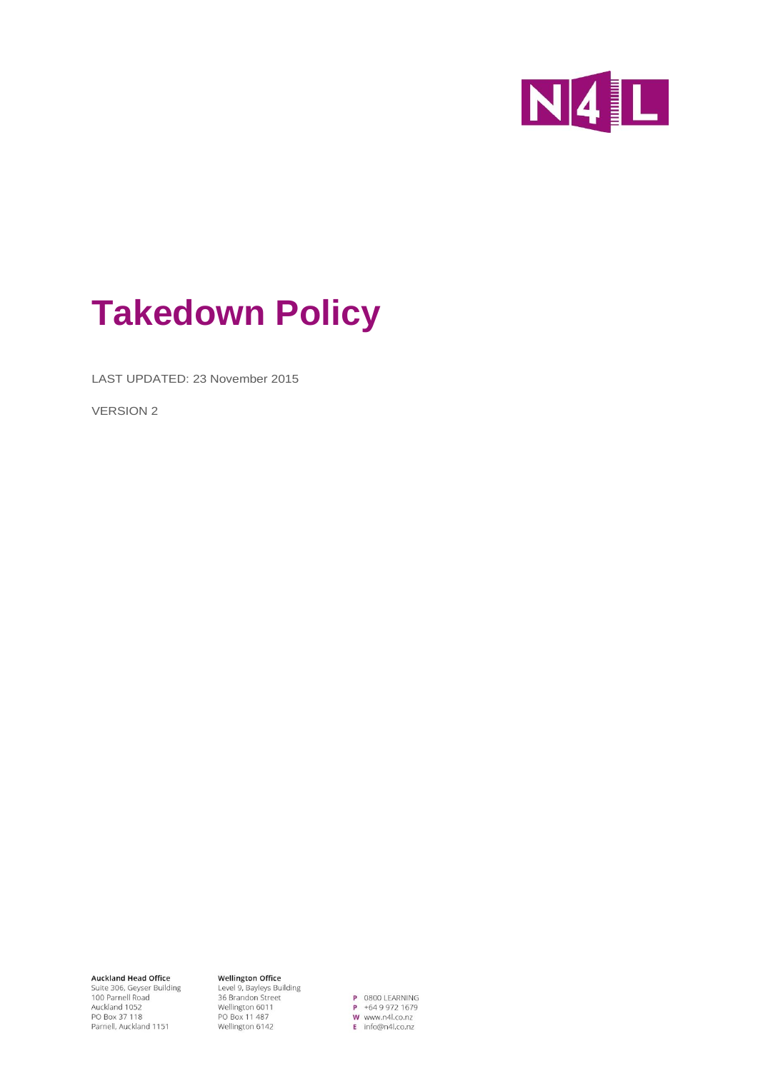

# **Takedown Policy**

LAST UPDATED: 23 November 2015

VERSION 2

**Auckland Head Office** Suite 306, Geyser Building<br>100 Parnell Road Auckland 1052 PO Box 37 118<br>PO Box 37 118<br>Parnell, Auckland 1151

**Wellington Office Wellington Office**<br>Level 9, Bayleys Building<br>36 Brandon Street<br>Wallington 6011 Wellington 6011 Weilington<br>PO Box 11 487<br>Wellington 6142

P 0800 LEARNING  $P + 6499721679$ W www.n4l.co.nz E info@n4l.co.nz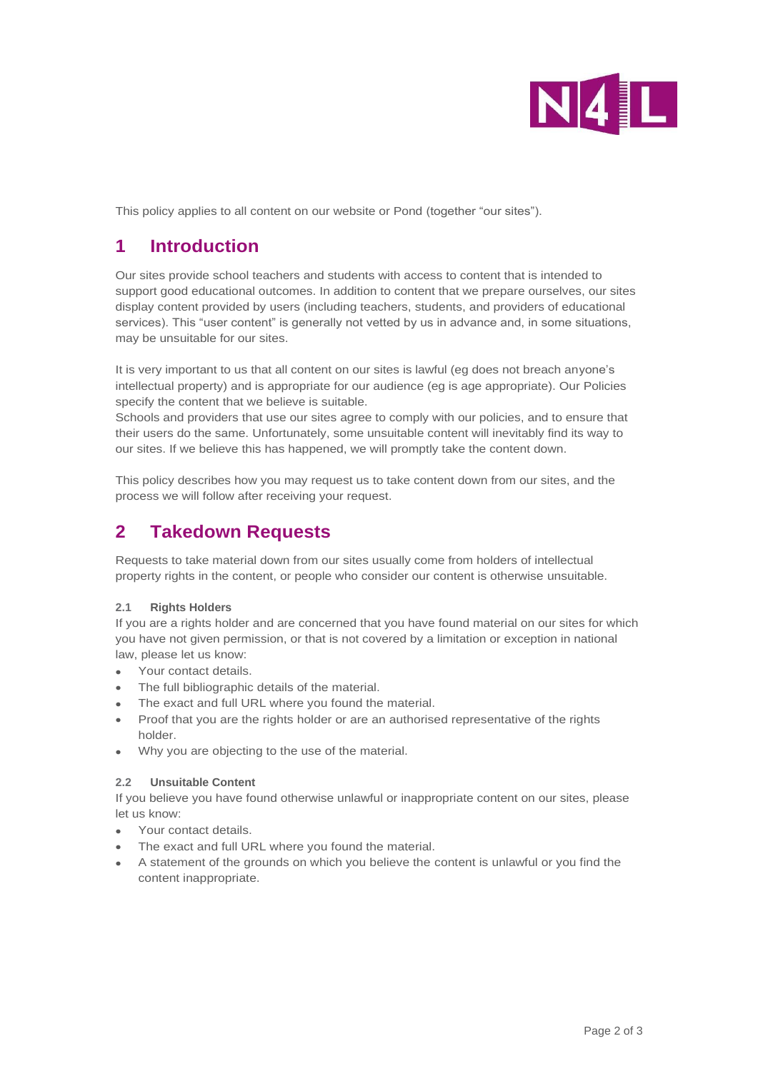

This policy applies to all content on our website or Pond (together "our sites").

# **1 Introduction**

Our sites provide school teachers and students with access to content that is intended to support good educational outcomes. In addition to content that we prepare ourselves, our sites display content provided by users (including teachers, students, and providers of educational services). This "user content" is generally not vetted by us in advance and, in some situations, may be unsuitable for our sites.

It is very important to us that all content on our sites is lawful (eg does not breach anyone's intellectual property) and is appropriate for our audience (eg is age appropriate). Our Policies specify the content that we believe is suitable.

Schools and providers that use our sites agree to comply with our policies, and to ensure that their users do the same. Unfortunately, some unsuitable content will inevitably find its way to our sites. If we believe this has happened, we will promptly take the content down.

This policy describes how you may request us to take content down from our sites, and the process we will follow after receiving your request.

## **2 Takedown Requests**

Requests to take material down from our sites usually come from holders of intellectual property rights in the content, or people who consider our content is otherwise unsuitable.

## **2.1 Rights Holders**

If you are a rights holder and are concerned that you have found material on our sites for which you have not given permission, or that is not covered by a limitation or exception in national law, please let us know:

- Your contact details.
- The full bibliographic details of the material.
- The exact and full URL where you found the material.
- Proof that you are the rights holder or are an authorised representative of the rights holder.
- Why you are objecting to the use of the material.

#### **2.2 Unsuitable Content**

If you believe you have found otherwise unlawful or inappropriate content on our sites, please let us know:

- Your contact details.
- The exact and full URL where you found the material.
- A statement of the grounds on which you believe the content is unlawful or you find the content inappropriate.